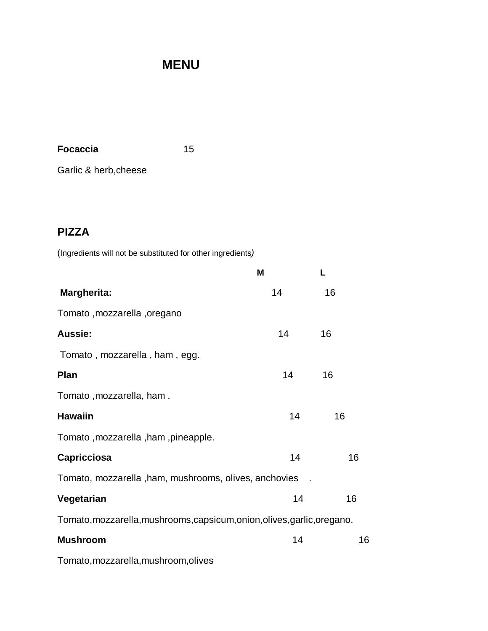# **MENU**

**Focaccia** 15

Garlic & herb,cheese

### **PIZZA**

(Ingredients will not be substituted for other ingredients*)*

|                                                                          | M  | L  |
|--------------------------------------------------------------------------|----|----|
| <b>Margherita:</b>                                                       | 14 | 16 |
| Tomato, mozzarella, oregano                                              |    |    |
| Aussie:                                                                  | 14 | 16 |
| Tomato, mozzarella, ham, egg.                                            |    |    |
| Plan                                                                     | 14 | 16 |
| Tomato, mozzarella, ham.                                                 |    |    |
| <b>Hawaiin</b>                                                           | 14 | 16 |
| Tomato, mozzarella, ham, pineapple.                                      |    |    |
| <b>Capricciosa</b>                                                       | 14 | 16 |
| Tomato, mozzarella, ham, mushrooms, olives, anchovies                    |    |    |
| Vegetarian                                                               | 14 | 16 |
| Tomato, mozzarella, mushrooms, capsicum, onion, olives, garlic, oregano. |    |    |
| <b>Mushroom</b>                                                          | 14 | 16 |
| Tomato, mozzarella, mushroom, olives                                     |    |    |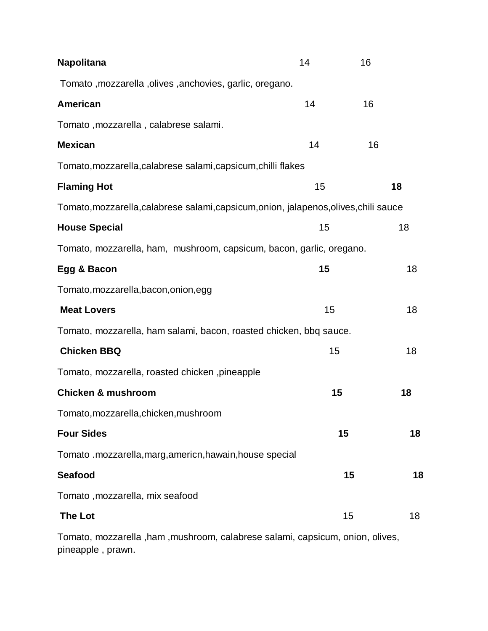| <b>Napolitana</b>                                                                     | 14 | 16 |    |
|---------------------------------------------------------------------------------------|----|----|----|
| Tomato, mozzarella, olives, anchovies, garlic, oregano.                               |    |    |    |
| <b>American</b>                                                                       | 14 | 16 |    |
| Tomato, mozzarella, calabrese salami.                                                 |    |    |    |
| <b>Mexican</b>                                                                        | 14 | 16 |    |
| Tomato, mozzarella, calabrese salami, capsicum, chilli flakes                         |    |    |    |
| <b>Flaming Hot</b>                                                                    | 15 |    | 18 |
| Tomato, mozzarella, calabrese salami, capsicum, onion, jalapenos, olives, chili sauce |    |    |    |
| <b>House Special</b>                                                                  | 15 |    | 18 |
| Tomato, mozzarella, ham, mushroom, capsicum, bacon, garlic, oregano.                  |    |    |    |
| Egg & Bacon                                                                           | 15 |    | 18 |
| Tomato, mozzarella, bacon, onion, egg                                                 |    |    |    |
| <b>Meat Lovers</b>                                                                    | 15 |    | 18 |
| Tomato, mozzarella, ham salami, bacon, roasted chicken, bbq sauce.                    |    |    |    |
| <b>Chicken BBQ</b>                                                                    | 15 |    | 18 |
| Tomato, mozzarella, roasted chicken , pineapple                                       |    |    |    |
| <b>Chicken &amp; mushroom</b>                                                         | 15 |    | 18 |
| Tomato, mozzarella, chicken, mushroom                                                 |    |    |    |
| <b>Four Sides</b>                                                                     |    | 15 | 18 |
| Tomato .mozzarella,marg,americn,hawain,house special                                  |    |    |    |
| <b>Seafood</b>                                                                        |    | 15 | 18 |
| Tomato, mozzarella, mix seafood                                                       |    |    |    |
| <b>The Lot</b>                                                                        |    | 15 | 18 |
|                                                                                       |    |    |    |

Tomato, mozzarella ,ham ,mushroom, calabrese salami, capsicum, onion, olives, pineapple , prawn.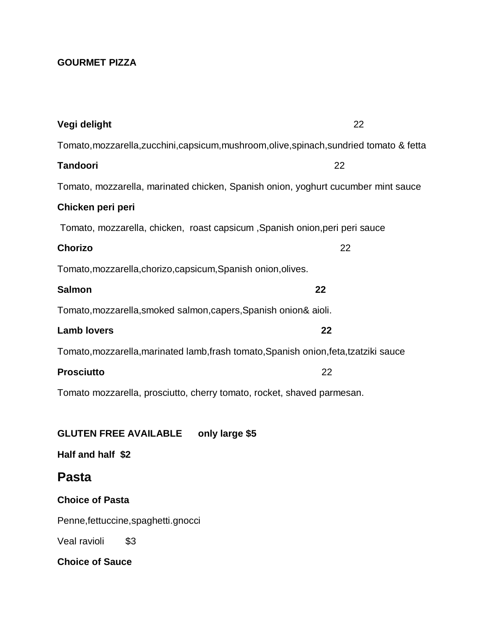### **GOURMET PIZZA**

| Vegi delight                                                                          | 22                                                                                        |  |
|---------------------------------------------------------------------------------------|-------------------------------------------------------------------------------------------|--|
|                                                                                       | Tomato, mozzarella, zucchini, capsicum, mushroom, olive, spinach, sundried tomato & fetta |  |
| <b>Tandoori</b>                                                                       | 22                                                                                        |  |
|                                                                                       | Tomato, mozzarella, marinated chicken, Spanish onion, yoghurt cucumber mint sauce         |  |
| Chicken peri peri                                                                     |                                                                                           |  |
| Tomato, mozzarella, chicken, roast capsicum, Spanish onion, peri peri sauce           |                                                                                           |  |
| <b>Chorizo</b>                                                                        | 22                                                                                        |  |
| Tomato, mozzarella, chorizo, capsicum, Spanish onion, olives.                         |                                                                                           |  |
| <b>Salmon</b>                                                                         | 22                                                                                        |  |
| Tomato, mozzarella, smoked salmon, capers, Spanish onion& aioli.                      |                                                                                           |  |
| <b>Lamb lovers</b>                                                                    | 22                                                                                        |  |
| Tomato, mozzarella, marinated lamb, frash tomato, Spanish onion, feta, tzatziki sauce |                                                                                           |  |
| <b>Prosciutto</b>                                                                     | 22                                                                                        |  |
| Tomato mozzarella, prosciutto, cherry tomato, rocket, shaved parmesan.                |                                                                                           |  |
|                                                                                       |                                                                                           |  |
| only large \$5<br><b>GLUTEN FREE AVAILABLE</b>                                        |                                                                                           |  |
| Half and half \$2                                                                     |                                                                                           |  |
| <b>Pasta</b>                                                                          |                                                                                           |  |
| <b>Choice of Pasta</b>                                                                |                                                                                           |  |
| Penne, fettuccine, spaghetti.gnocci                                                   |                                                                                           |  |
| Veal ravioli<br>\$3                                                                   |                                                                                           |  |
| <b>Choice of Sauce</b>                                                                |                                                                                           |  |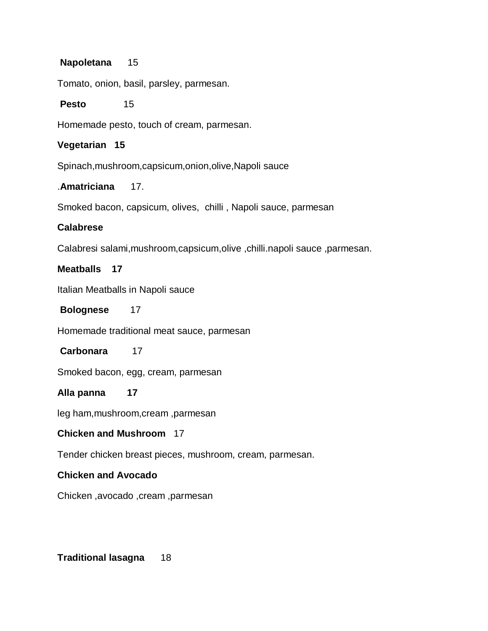#### **Napoletana** 15

Tomato, onion, basil, parsley, parmesan.

#### **Pesto** 15

Homemade pesto, touch of cream, parmesan.

#### **Vegetarian 15**

Spinach,mushroom,capsicum,onion,olive,Napoli sauce

#### .**Amatriciana** 17.

Smoked bacon, capsicum, olives, chilli , Napoli sauce, parmesan

#### **Calabrese**

Calabresi salami,mushroom,capsicum,olive ,chilli.napoli sauce ,parmesan.

#### **Meatballs 17**

Italian Meatballs in Napoli sauce

#### **Bolognese** 17

Homemade traditional meat sauce, parmesan

#### **Carbonara** 17

Smoked bacon, egg, cream, parmesan

#### **Alla panna 17**

leg ham,mushroom,cream ,parmesan

#### **Chicken and Mushroom** 17

Tender chicken breast pieces, mushroom, cream, parmesan.

#### **Chicken and Avocado**

Chicken ,avocado ,cream ,parmesan

#### **Traditional lasagna** 18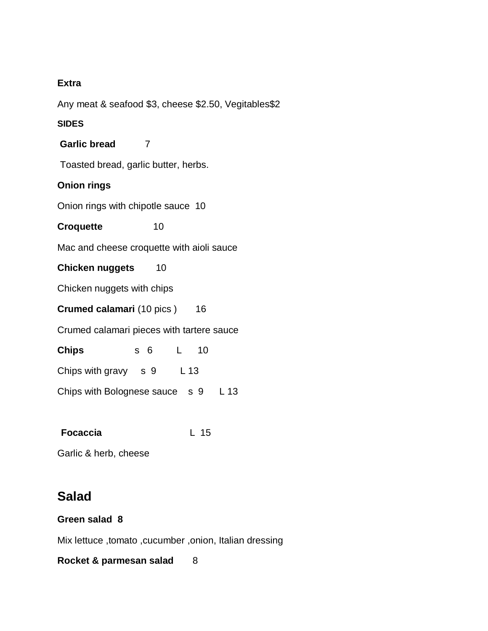#### **Extra**

Any meat & seafood \$3, cheese \$2.50, Vegitables\$2

#### **SIDES**

**Garlic bread** 7

Toasted bread, garlic butter, herbs.

#### **Onion rings**

Onion rings with chipotle sauce 10

**Croquette** 10

Mac and cheese croquette with aioli sauce

**Chicken nuggets** 10

Chicken nuggets with chips

**Crumed calamari** (10 pics ) 16

Crumed calamari pieces with tartere sauce

**Chips** s 6 L 10

Chips with gravy s 9 L 13

Chips with Bolognese sauce s 9 L 13

**Focaccia** L 15

Garlic & herb, cheese

## **Salad**

#### **Green salad 8**

Mix lettuce ,tomato ,cucumber ,onion, Italian dressing

**Rocket & parmesan salad 8**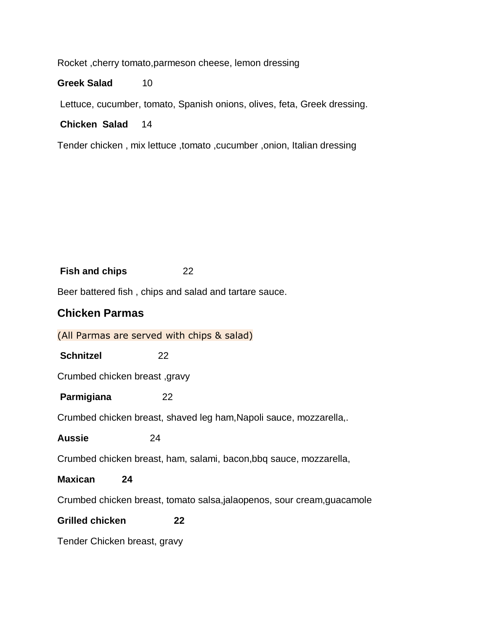Rocket ,cherry tomato,parmeson cheese, lemon dressing

Greek Salad 10

Lettuce, cucumber, tomato, Spanish onions, olives, feta, Greek dressing.

**Chicken Salad** 14

Tender chicken , mix lettuce ,tomato ,cucumber ,onion, Italian dressing

#### **Fish and chips** 22

Beer battered fish , chips and salad and tartare sauce.

#### **Chicken Parmas**

(All Parmas are served with chips & salad)

**Schnitzel** 22

Crumbed chicken breast ,gravy

**Parmigiana** 22

Crumbed chicken breast, shaved leg ham,Napoli sauce, mozzarella,.

**Aussie** 24

Crumbed chicken breast, ham, salami, bacon,bbq sauce, mozzarella,

#### **Maxican 24**

Crumbed chicken breast, tomato salsa,jalaopenos, sour cream,guacamole

#### **Grilled chicken 22**

Tender Chicken breast, gravy